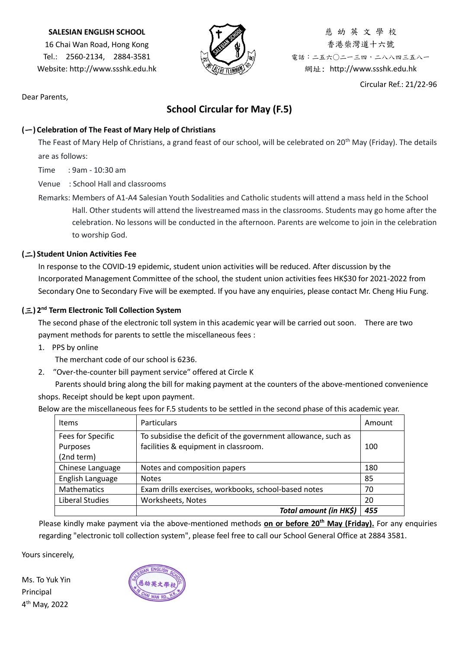#### **SALESIAN ENGLISH SCHOOL**

16 Chai Wan Road, Hong Kong Tel.: 2560-2134, 2884-3581 Website: http://www.ssshk.edu.hk



慈 幼 英 文 學 校 香港柴灣道十六號 電話:二五六○二一三四,二八八四三五八一 網址: http://www.ssshk.edu.hk

Circular Ref.: 21/22-96

Dear Parents,

## **School Circular for May (F.5)**

### **(**一**) Celebration of The Feast of Mary Help of Christians**

The Feast of Mary Help of Christians, a grand feast of our school, will be celebrated on 20<sup>th</sup> May (Friday). The details are as follows:

Time : 9am - 10:30 am

Venue : School Hall and classrooms

Remarks: Members of A1-A4 Salesian Youth Sodalities and Catholic students will attend a mass held in the School Hall. Other students will attend the livestreamed mass in the classrooms. Students may go home after the celebration. No lessons will be conducted in the afternoon. Parents are welcome to join in the celebration to worship God.

### **(**二**) Student Union Activities Fee**

In response to the COVID-19 epidemic, student union activities will be reduced. After discussion by the Incorporated Management Committee of the school, the student union activities fees HK\$30 for 2021-2022 from Secondary One to Secondary Five will be exempted. If you have any enquiries, please contact Mr. Cheng Hiu Fung.

### **(**三**) 2 nd Term Electronic Toll Collection System**

The second phase of the electronic toll system in this academic year will be carried out soon. There are two payment methods for parents to settle the miscellaneous fees :

1. PPS by online

The merchant code of our school is 6236.

2. ″Over-the-counter bill payment service″ offered at Circle K

Parents should bring along the bill for making payment at the counters of the above-mentioned convenience shops. Receipt should be kept upon payment.

Below are the miscellaneous fees for F.5 students to be settled in the second phase of this academic year.

| <b>Items</b>                                | <b>Particulars</b>                                                                                    | Amount |
|---------------------------------------------|-------------------------------------------------------------------------------------------------------|--------|
| Fees for Specific<br>Purposes<br>(2nd term) | To subsidise the deficit of the government allowance, such as<br>facilities & equipment in classroom. | 100    |
| Chinese Language                            | Notes and composition papers                                                                          | 180    |
| English Language                            | <b>Notes</b>                                                                                          | 85     |
| <b>Mathematics</b>                          | Exam drills exercises, workbooks, school-based notes                                                  | 70     |
| Liberal Studies                             | Worksheets, Notes                                                                                     | 20     |
|                                             | Total amount (in HK\$)                                                                                | 455    |

Please kindly make payment via the above-mentioned methods **on or before 20th May (Friday).** For any enquiries regarding "electronic toll collection system", please feel free to call our School General Office at 2884 3581.

Yours sincerely,

Ms. To Yuk Yin Principal 4 th May, 2022